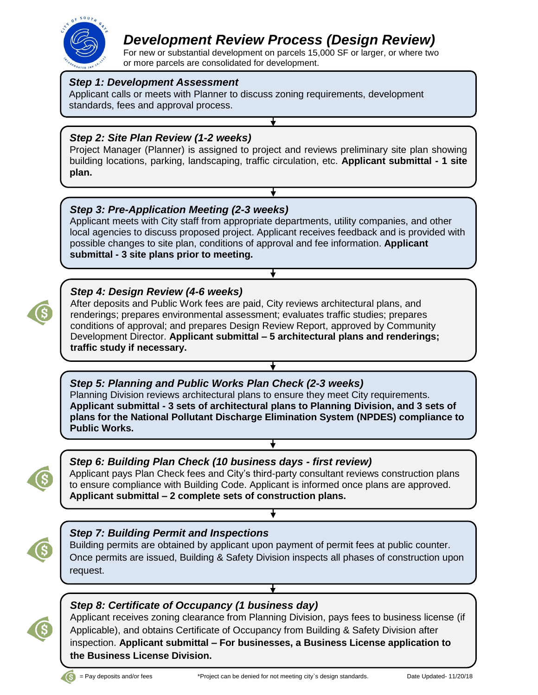

# *Development Review Process (Design Review)*

For new or substantial development on parcels 15,000 SF or larger, or where two or more parcels are consolidated for development.

#### *Step 1: Development Assessment*

Applicant calls or meets with Planner to discuss zoning requirements, development standards, fees and approval process.

## *Step 2: Site Plan Review (1-2 weeks)*

Project Manager (Planner) is assigned to project and reviews preliminary site plan showing building locations, parking, landscaping, traffic circulation, etc. **Applicant submittal - 1 site plan.**

∓

#### *Step 3: Pre-Application Meeting (2-3 weeks)*

Applicant meets with City staff from appropriate departments, utility companies, and other local agencies to discuss proposed project. Applicant receives feedback and is provided with possible changes to site plan, conditions of approval and fee information. **Applicant submittal - 3 site plans prior to meeting.**

### *Step 4: Design Review (4-6 weeks)*

After deposits and Public Work fees are paid, City reviews architectural plans, and renderings; prepares environmental assessment; evaluates traffic studies; prepares conditions of approval; and prepares Design Review Report, approved by Community Development Director. **Applicant submittal – 5 architectural plans and renderings; traffic study if necessary.** 

## *Step 5: Planning and Public Works Plan Check (2-3 weeks)*

Planning Division reviews architectural plans to ensure they meet City requirements. **Applicant submittal - 3 sets of architectural plans to Planning Division, and 3 sets of plans for the National Pollutant Discharge Elimination System (NPDES) compliance to Public Works.** 



## *Step 6: Building Plan Check (10 business days - first review)*

Applicant pays Plan Check fees and City's third-party consultant reviews construction plans to ensure compliance with Building Code. Applicant is informed once plans are approved. **Applicant submittal – 2 complete sets of construction plans.** 

### *Step 7: Building Permit and Inspections*

Building permits are obtained by applicant upon payment of permit fees at public counter. Once permits are issued, Building & Safety Division inspects all phases of construction upon request.

## *Step 8: Certificate of Occupancy (1 business day)*

Applicant receives zoning clearance from Planning Division, pays fees to business license (if Applicable), and obtains Certificate of Occupancy from Building & Safety Division after inspection. **Applicant submittal – For businesses, a Business License application to the Business License Division.**